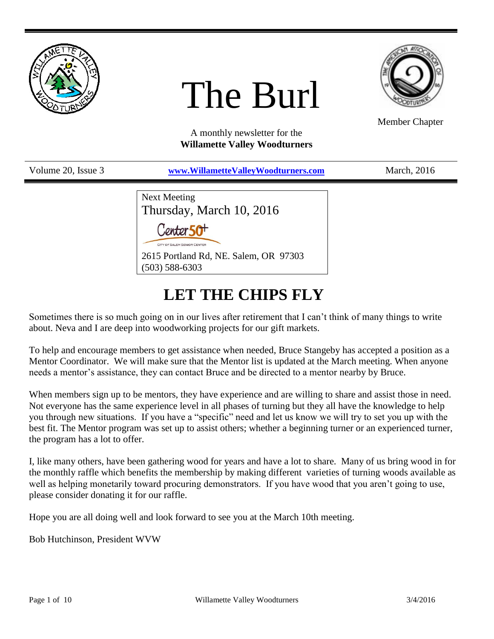

# The Burl



Member Chapter

A monthly newsletter for the **Willamette Valley Woodturners**

Volume 20, Issue 3 **[www.WillametteValleyWoodturners.com](http://www.willamettevalleywoodturners.com/)** March, 2016

Next Meeting Thursday, March 10, 2016 Conter 50<sup>+</sup> 2615 Portland Rd, NE. Salem, OR 97303 (503) 588-6303

# **LET THE CHIPS FLY**

Sometimes there is so much going on in our lives after retirement that I can't think of many things to write about. Neva and I are deep into woodworking projects for our gift markets.

To help and encourage members to get assistance when needed, Bruce Stangeby has accepted a position as a Mentor Coordinator. We will make sure that the Mentor list is updated at the March meeting. When anyone needs a mentor's assistance, they can contact Bruce and be directed to a mentor nearby by Bruce.

When members sign up to be mentors, they have experience and are willing to share and assist those in need. Not everyone has the same experience level in all phases of turning but they all have the knowledge to help you through new situations. If you have a "specific" need and let us know we will try to set you up with the best fit. The Mentor program was set up to assist others; whether a beginning turner or an experienced turner, the program has a lot to offer.

I, like many others, have been gathering wood for years and have a lot to share. Many of us bring wood in for the monthly raffle which benefits the membership by making different varieties of turning woods available as well as helping monetarily toward procuring demonstrators. If you have wood that you aren't going to use, please consider donating it for our raffle.

Hope you are all doing well and look forward to see you at the March 10th meeting.

Bob Hutchinson, President WVW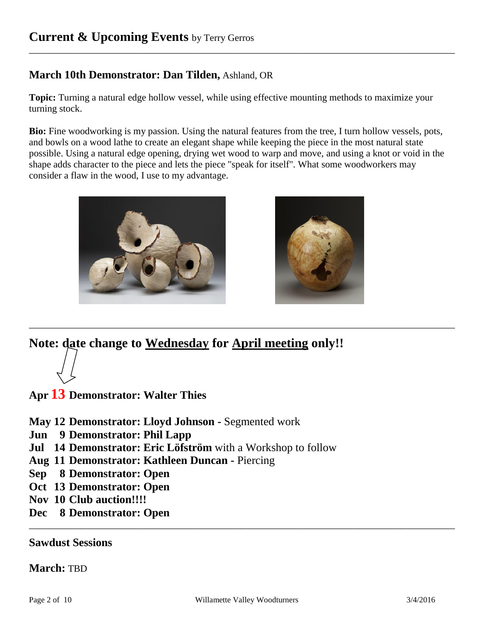### **March 10th Demonstrator: Dan Tilden,** Ashland, OR

**Topic:** Turning a natural edge hollow vessel, while using effective mounting methods to maximize your turning stock.

\_\_\_\_\_\_\_\_\_\_\_\_\_\_\_\_\_\_\_\_\_\_\_\_\_\_\_\_\_\_\_\_\_\_\_\_\_\_\_\_\_\_\_\_\_\_\_\_\_\_\_\_\_\_\_\_\_\_\_\_\_\_\_\_\_\_\_\_\_\_\_\_\_\_\_\_\_\_\_\_\_\_\_\_\_\_\_\_

**Bio:** Fine woodworking is my passion. Using the natural features from the tree, I turn hollow vessels, pots, and bowls on a wood lathe to create an elegant shape while keeping the piece in the most natural state possible. Using a natural edge opening, drying wet wood to warp and move, and using a knot or void in the shape adds character to the piece and lets the piece "speak for itself". What some woodworkers may consider a flaw in the wood, I use to my advantage.

\_\_\_\_\_\_\_\_\_\_\_\_\_\_\_\_\_\_\_\_\_\_\_\_\_\_\_\_\_\_\_\_\_\_\_\_\_\_\_\_\_\_\_\_\_\_\_\_\_\_\_\_\_\_\_\_\_\_\_\_\_\_\_\_\_\_\_\_\_\_\_\_\_\_\_\_\_\_\_\_\_\_\_\_\_\_\_\_





**Note: date change to Wednesday for April meeting only!!**

**Apr 13 Demonstrator: Walter Thies**

**May 12 Demonstrator: Lloyd Johnson -** Segmented work

- **Jun 9 Demonstrator: Phil Lapp**
- **Jul 14 Demonstrator: Eric Löfström** with a Workshop to follow
- **Aug 11 Demonstrator: Kathleen Duncan -** Piercing
- **Sep 8 Demonstrator: Open**
- **Oct 13 Demonstrator: Open**
- **Nov 10 Club auction!!!!**
- **Dec 8 Demonstrator: Open**

#### **Sawdust Sessions**

#### **March:** TBD

\_\_\_\_\_\_\_\_\_\_\_\_\_\_\_\_\_\_\_\_\_\_\_\_\_\_\_\_\_\_\_\_\_\_\_\_\_\_\_\_\_\_\_\_\_\_\_\_\_\_\_\_\_\_\_\_\_\_\_\_\_\_\_\_\_\_\_\_\_\_\_\_\_\_\_\_\_\_\_\_\_\_\_\_\_\_\_\_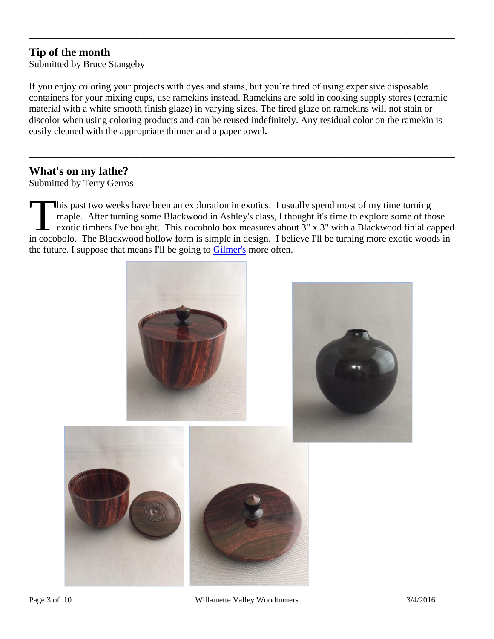## **Tip of the month**

Submitted by Bruce Stangeby

If you enjoy coloring your projects with dyes and stains, but you're tired of using expensive disposable containers for your mixing cups, use ramekins instead. Ramekins are sold in cooking supply stores (ceramic material with a white smooth finish glaze) in varying sizes. The fired glaze on ramekins will not stain or discolor when using coloring products and can be reused indefinitely. Any residual color on the ramekin is easily cleaned with the appropriate thinner and a paper towel**.**

\_\_\_\_\_\_\_\_\_\_\_\_\_\_\_\_\_\_\_\_\_\_\_\_\_\_\_\_\_\_\_\_\_\_\_\_\_\_\_\_\_\_\_\_\_\_\_\_\_\_\_\_\_\_\_\_\_\_\_\_\_\_\_\_\_\_\_\_\_\_\_\_\_\_\_\_\_\_\_\_\_\_\_\_\_\_\_\_

\_\_\_\_\_\_\_\_\_\_\_\_\_\_\_\_\_\_\_\_\_\_\_\_\_\_\_\_\_\_\_\_\_\_\_\_\_\_\_\_\_\_\_\_\_\_\_\_\_\_\_\_\_\_\_\_\_\_\_\_\_\_\_\_\_\_\_\_\_\_\_\_\_\_\_\_\_\_\_\_\_\_\_\_\_\_\_\_

#### **What's on my lathe?**

Submitted by Terry Gerros

his past two weeks have been an exploration in exotics. I usually spend most of my time turning maple. After turning some Blackwood in Ashley's class, I thought it's time to explore some of those exotic timbers I've bought. This cocobolo box measures about 3" x 3" with a Blackwood finial capped It is past two weeks have been an exploration in exotics. I usually spend most of my time turning maple. After turning some Blackwood in Ashley's class, I thought it's time to explore some of those exotic timbers I've boug the future. I suppose that means I'll be going to [Gilmer's](https://www.gilmerwood.com/) more often.

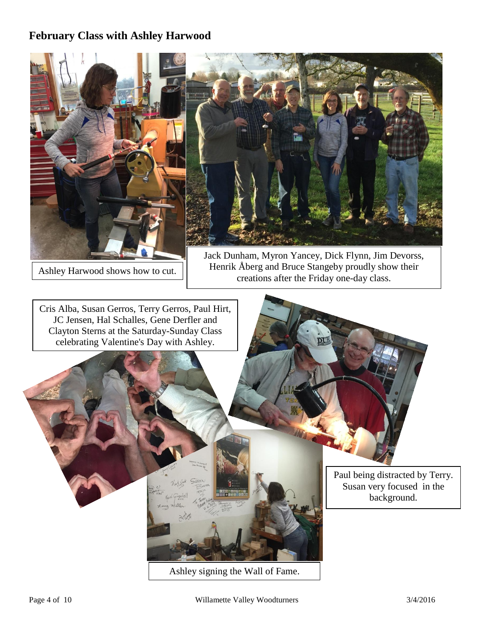### **February Class with Ashley Harwood**



Ashley signing the Wall of Fame.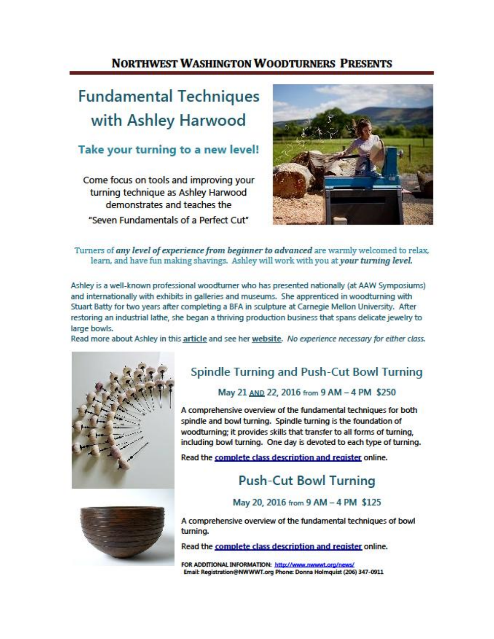## **NORTHWEST WASHINGTON WOODTURNERS PRESENTS**

# **Fundamental Techniques** with Ashley Harwood

## Take your turning to a new level!

Come focus on tools and improving your turning technique as Ashley Harwood demonstrates and teaches the "Seven Fundamentals of a Perfect Cut"



#### Turners of any level of experience from beginner to advanced are warmly welcomed to relax, learn, and have fun making shavings. Ashley will work with you at your turning level.

Ashley is a well-known professional woodturner who has presented nationally (at AAW Symposiums) and internationally with exhibits in galleries and museums. She apprenticed in woodturning with Stuart Batty for two years after completing a BFA in sculpture at Carnegie Mellon University. After restoring an industrial lathe, she began a thriving production business that spans delicate jewelry to large bowls.

Read more about Ashley in this article and see her website. No experience necessary for either class.



## Spindle Turning and Push-Cut Bowl Turning

#### May 21 AND 22, 2016 from 9 AM - 4 PM \$250

A comprehensive overview of the fundamental techniques for both spindle and bowl turning. Spindle turning is the foundation of woodturning: it provides skills that transfer to all forms of turning. including bowl turning. One day is devoted to each type of turning.

Read the complete class description and register online.

## **Push-Cut Bowl Turning**

May 20, 2016 from 9 AM - 4 PM \$125



A comprehensive overview of the fundamental techniques of bowl turning.

Read the complete class description and register online.

FOR ADDITIONAL INFORMATION: http://www.nwwwt.org/news/ Email: Registration@NWWWT.org Phone: Donna Holmquist (206) 347-0911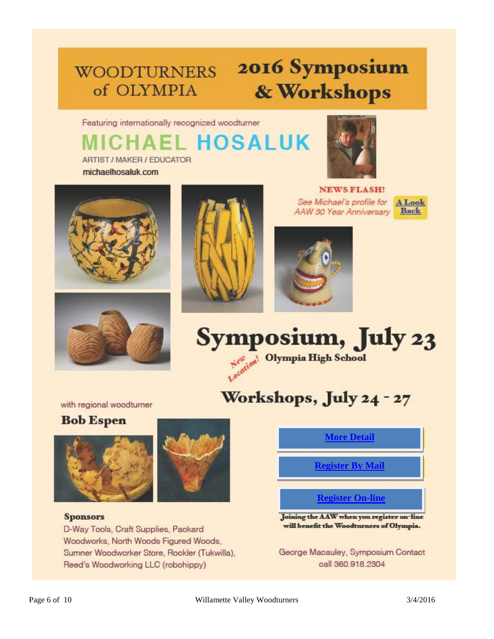# **WOODTURNERS** of OLYMPIA

ARTIST / MAKER / EDUCATOR

# 2016 Symposium & Workshops

Featuring internationally recognized woodturner **HAEL HOSALUK** 



michaelhosaluk.com





**NEWS FLASH!** See Michael's profile for **AAW 30 Year Anniversary** 







# Workshops, July 24 - 27

with regional woodturner

## **Bob Espen**





#### **Sponsors**

D-Way Tools, Craft Supplies, Packard Woodworks, North Woods Figured Woods, Sumner Woodworker Store, Rookler (Tukwilla), Reed's Woodworking LLC (robohippy)

## **[More Detail](https://aaw.site-ym.com/?2016Olympia)**

**[Register By Mail](http://www.woodturnersofolympia.org/uploads/1/0/8/4/10843369/mail_in_registration.pdf)**

### **[Register On-line](https://aaw.site-ym.com/?2016Olympia)**

Joining the AAW when you register on-line will benefit the Woodturners of Olympia.

George Macauley, Symposium Contact oall 360.918.2304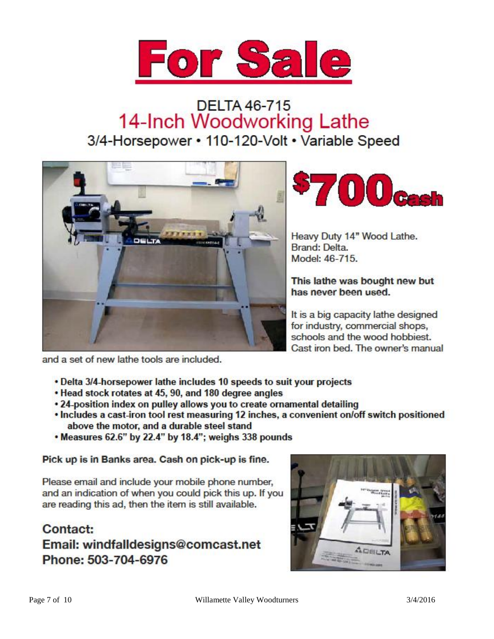

# **DELTA 46-715** 14-Inch Woodworking Lathe 3/4-Horsepower • 110-120-Volt • Variable Speed



![](_page_6_Picture_3.jpeg)

Heavy Duty 14" Wood Lathe. Brand: Delta. Model: 46-715.

This lathe was bought new but has never been used.

It is a big capacity lathe designed for industry, commercial shops, schools and the wood hobbiest. Cast iron bed. The owner's manual

and a set of new lathe tools are included.

- . Delta 3/4-horsepower lathe includes 10 speeds to suit your projects
- . Head stock rotates at 45, 90, and 180 degree angles
- 24-position index on pulley allows you to create ornamental detailing
- . Includes a cast-iron tool rest measuring 12 inches, a convenient on/off switch positioned above the motor, and a durable steel stand
- . Measures 62.6" by 22.4" by 18.4"; weighs 338 pounds

Pick up is in Banks area. Cash on pick-up is fine.

Please email and include your mobile phone number, and an indication of when you could pick this up. If you are reading this ad, then the item is still available.

## Contact: Email: windfalldesigns@comcast.net Phone: 503-704-6976

![](_page_6_Picture_16.jpeg)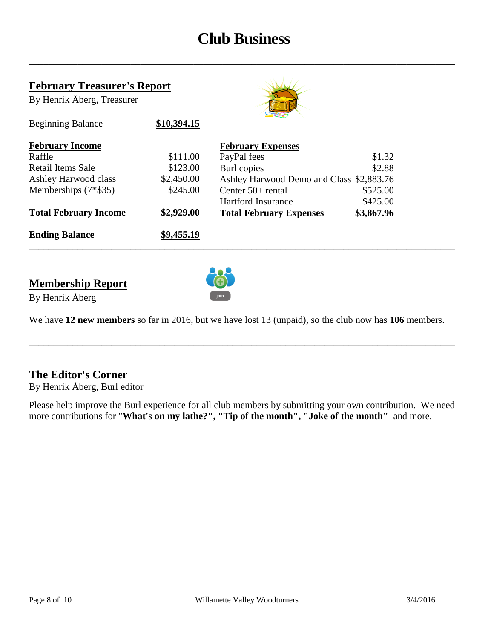# **Club Business**

\_\_\_\_\_\_\_\_\_\_\_\_\_\_\_\_\_\_\_\_\_\_\_\_\_\_\_\_\_\_\_\_\_\_\_\_\_\_\_\_\_\_\_\_\_\_\_\_\_\_\_\_\_\_\_\_\_\_\_\_\_\_\_\_\_\_\_\_\_\_\_\_\_\_\_\_\_\_\_\_\_\_\_\_\_\_\_\_

#### **February Treasurer's Report**

Beginning Balance **\$10,394.15** 

By Henrik Åberg, Treasurer

![](_page_7_Picture_3.jpeg)

| <b>February Income</b>       |            | <b>February Expenses</b>                 |            |  |
|------------------------------|------------|------------------------------------------|------------|--|
| Raffle                       | \$111.00   | PayPal fees                              | \$1.32     |  |
| Retail Items Sale            | \$123.00   | Burl copies                              | \$2.88     |  |
| Ashley Harwood class         | \$2,450.00 | Ashley Harwood Demo and Class \$2,883.76 |            |  |
| Memberships $(7*$35)$        | \$245.00   | Center $50+$ rental                      | \$525.00   |  |
|                              |            | <b>Hartford Insurance</b>                | \$425.00   |  |
| <b>Total February Income</b> | \$2,929.00 | <b>Total February Expenses</b>           | \$3,867.96 |  |
| <b>Ending Balance</b>        | \$9,455.19 |                                          |            |  |

### **Membership Report**

![](_page_7_Picture_6.jpeg)

By Henrik Åberg

We have **12 new members** so far in 2016, but we have lost 13 (unpaid), so the club now has **106** members.

\_\_\_\_\_\_\_\_\_\_\_\_\_\_\_\_\_\_\_\_\_\_\_\_\_\_\_\_\_\_\_\_\_\_\_\_\_\_\_\_\_\_\_\_\_\_\_\_\_\_\_\_\_\_\_\_\_\_\_\_\_\_\_\_\_\_\_\_\_\_\_\_\_\_\_\_\_\_\_\_\_\_\_\_\_\_\_\_

#### **The Editor's Corner**

By Henrik Åberg, Burl editor

Please help improve the Burl experience for all club members by submitting your own contribution. We need more contributions for "**What's on my lathe?", "Tip of the month", "Joke of the month"** and more.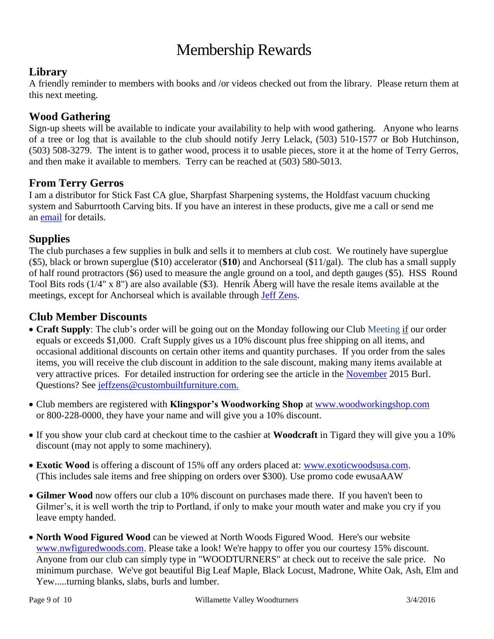# Membership Rewards

#### **Library**

A friendly reminder to members with books and /or videos checked out from the library. Please return them at this next meeting.

#### **Wood Gathering**

Sign-up sheets will be available to indicate your availability to help with wood gathering. Anyone who learns of a tree or log that is available to the club should notify Jerry Lelack, (503) 510-1577 or Bob Hutchinson, (503) 508-3279. The intent is to gather wood, process it to usable pieces, store it at the home of Terry Gerros, and then make it available to members. Terry can be reached at (503) 580-5013.

#### **From Terry Gerros**

I am a distributor for Stick Fast CA glue, Sharpfast Sharpening systems, the Holdfast vacuum chucking system and Saburrtooth Carving bits. If you have an interest in these products, give me a call or send me an [email](mailto:gerrost@yahoo.com) for details.

#### **Supplies**

The club purchases a few supplies in bulk and sells it to members at club cost. We routinely have superglue (\$5), black or brown superglue (\$10) accelerator (**\$10**) and Anchorseal (\$11/gal). The club has a small supply of half round protractors (\$6) used to measure the angle ground on a tool, and depth gauges (\$5). HSS Round Tool Bits rods (1/4" x 8") are also available (\$3). Henrik Åberg will have the resale items available at the meetings, except for Anchorseal which is available through [Jeff Zens.](mailto:jszens@custombuiltfurniture.com)

#### **Club Member Discounts**

- **Craft Supply**: The club's order will be going out on the Monday following our Club Meeting if our order equals or exceeds \$1,000. Craft Supply gives us a 10% discount plus free shipping on all items, and occasional additional discounts on certain other items and quantity purchases. If you order from the sales items, you will receive the club discount in addition to the sale discount, making many items available at very attractive prices. For detailed instruction for ordering see the article in the [November](http://www.willamettevalleywoodturners.com/newsletters/2015_11_WVW_Newsletter.pdf) 2015 Burl. Questions? See [jeffzens@custombuiltfurniture.com.](mailto:jeffzens@custombuiltfurniture.com.)
- Club members are registered with **Klingspor's Woodworking Shop** at [www.woodworkingshop.com](http://www.woodworkingshop.com/)  or 800-228-0000, they have your name and will give you a 10% discount.
- If you show your club card at checkout time to the cashier at **Woodcraft** in Tigard they will give you a 10% discount (may not apply to some machinery).
- **Exotic Wood** is offering a discount of 15% off any orders placed at: [www.exoticwoodsusa.com.](http://www.exoticwoodsusa.com/) (This includes sale items and free shipping on orders over \$300). Use promo code ewusaAAW
- **Gilmer Wood** now offers our club a 10% discount on purchases made there. If you haven't been to Gilmer's, it is well worth the trip to Portland, if only to make your mouth water and make you cry if you leave empty handed.
- **North Wood Figured Wood** can be viewed at North Woods Figured Wood. Here's our website [www.nwfiguredwoods.com.](http://www.nwfiguredwoods.com/) Please take a look! We're happy to offer you our courtesy 15% discount. Anyone from our club can simply type in "WOODTURNERS" at check out to receive the sale price. No minimum purchase. We've got beautiful Big Leaf Maple, Black Locust, Madrone, White Oak, Ash, Elm and Yew.....turning blanks, slabs, burls and lumber.